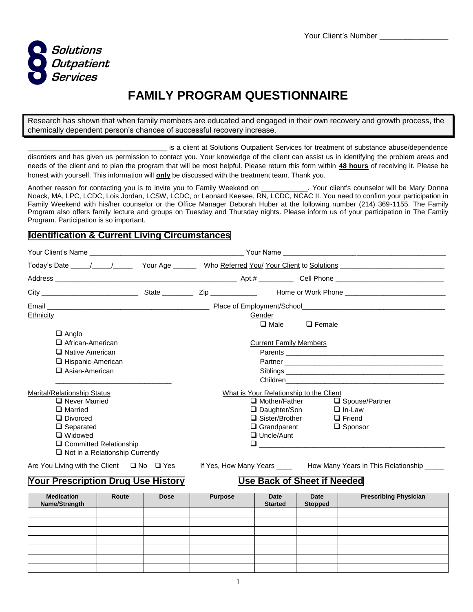

# **FAMILY PROGRAM QUESTIONNAIRE**

Research has shown that when family members are educated and engaged in their own recovery and growth process, the chemically dependent person's chances of successful recovery increase.

is a client at Solutions Outpatient Services for treatment of substance abuse/dependence disorders and has given us permission to contact you. Your knowledge of the client can assist us in identifying the problem areas and needs of the client and to plan the program that will be most helpful. Please return this form within **48 hours** of receiving it. Please be honest with yourself. This information will **only** be discussed with the treatment team. Thank you.

Another reason for contacting you is to invite you to Family Weekend on \_\_\_\_\_\_\_\_\_\_\_\_. Your client's counselor will be Mary Donna Noack, MA, LPC, LCDC, Lois Jordan, LCSW, LCDC, or Leonard Keesee, RN, LCDC, NCAC II. You need to confirm your participation in Family Weekend with his/her counselor or the Office Manager Deborah Huber at the following number (214) 369-1155. The Family Program also offers family lecture and groups on Tuesday and Thursday nights. Please inform us of your participation in The Family Program. Participation is so important.

#### **Identification & Current Living Circumstances**

|                                                                    | Today's Date 1. 1. 1. The Your Age 1. 2. Who Referred You/ Your Client to Solutions |                               |                                           |  |  |
|--------------------------------------------------------------------|-------------------------------------------------------------------------------------|-------------------------------|-------------------------------------------|--|--|
|                                                                    |                                                                                     |                               |                                           |  |  |
|                                                                    |                                                                                     |                               |                                           |  |  |
|                                                                    |                                                                                     |                               |                                           |  |  |
| Ethnicity<br>$\Box$ Anglo                                          | Gender                                                                              | $\square$ Male                | $\Box$ Female                             |  |  |
| African-American                                                   |                                                                                     | <b>Current Family Members</b> |                                           |  |  |
| $\Box$ Native American                                             |                                                                                     |                               |                                           |  |  |
| □ Hispanic-American                                                |                                                                                     |                               |                                           |  |  |
| $\square$ Asian-American                                           |                                                                                     |                               |                                           |  |  |
| Marital/Relationship Status                                        | What is Your Relationship to the Client                                             |                               |                                           |  |  |
| Never Married                                                      |                                                                                     | $\Box$ Mother/Father          | □ Spouse/Partner                          |  |  |
| $\Box$ Married                                                     |                                                                                     | □ Daughter/Son                | $\Box$ In-Law                             |  |  |
| $\Box$ Divorced                                                    |                                                                                     | $\Box$ Sister/Brother         | $\Box$ Friend                             |  |  |
| $\Box$ Separated                                                   |                                                                                     | $\Box$ Grandparent            | $\Box$ Sponsor                            |  |  |
| $\Box$ Widowed                                                     |                                                                                     | $\Box$ Uncle/Aunt             |                                           |  |  |
| □ Committed Relationship<br>$\Box$ Not in a Relationship Currently | ⊔                                                                                   |                               |                                           |  |  |
| Are You Living with the Client □ No □ Yes                          | If Yes, <u>How Many Years</u> ____                                                  |                               | How Many Years in This Relationship _____ |  |  |

### **Your Prescription Drug Use History Use Back of Sheet if Needed**

## **Medication Name/Strength Route Dose Purpose Date Started Date Stopped Prescribing Physician**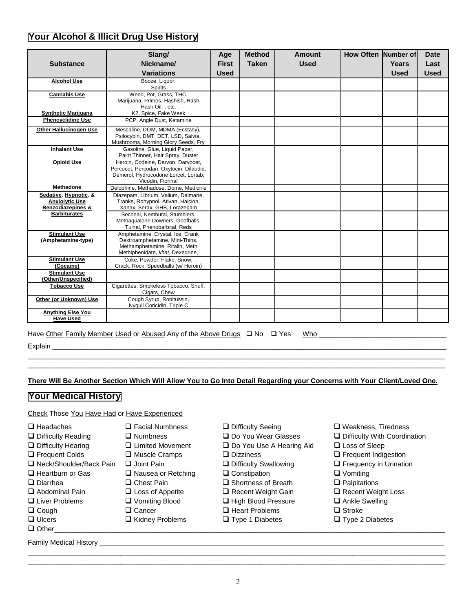### **Your Alcohol & Illicit Drug Use History**

| <b>Substance</b>                                                               | Slang/<br>Nickname/<br><b>Variations</b>                                                                                                   | Age<br><b>First</b><br><b>Used</b> | <b>Method</b><br><b>Taken</b> | Amount<br><b>Used</b> | <b>How Often Number of</b> | Years<br><b>Used</b> | <b>Date</b><br>Last<br><b>Used</b> |
|--------------------------------------------------------------------------------|--------------------------------------------------------------------------------------------------------------------------------------------|------------------------------------|-------------------------------|-----------------------|----------------------------|----------------------|------------------------------------|
| <b>Alcohol Use</b>                                                             | Booze, Liquor,<br><b>Spirits</b>                                                                                                           |                                    |                               |                       |                            |                      |                                    |
| <b>Cannabis Use</b>                                                            | Weed. Pot. Grass. THC.<br>Marijuana, Primos, Hashish, Hash<br>Hash Oil, , etc.                                                             |                                    |                               |                       |                            |                      |                                    |
| <b>Synthetic Marijuana</b><br><b>Phencyclidine Use</b>                         | K2, Spice, Fake Week<br>PCP. Angle Dust. Ketamine                                                                                          |                                    |                               |                       |                            |                      |                                    |
|                                                                                |                                                                                                                                            |                                    |                               |                       |                            |                      |                                    |
| Other Hallucinogen Use                                                         | Mescaline, DOM, MDMA (Ecstasy),<br>Psilocybin, DMT, DET, LSD, Salvia,<br>Mushrooms, Morning Glory Seeds, Fry                               |                                    |                               |                       |                            |                      |                                    |
| <b>Inhalant Use</b>                                                            | Gasoline, Glue, Liquid Paper,<br>Paint Thinner, Hair Spray, Duster                                                                         |                                    |                               |                       |                            |                      |                                    |
| <b>Opioid Use</b>                                                              | Heroin, Codeine, Darvon, Darvocet,<br>Percocet, Percodan, Oxytocin, Dilaudid,<br>Demerol, Hydrocodone Lorcet, Lortab,<br>Vicodin, Fiorinal |                                    |                               |                       |                            |                      |                                    |
| <b>Methadone</b>                                                               | Delophine, Methadose, Dome, Medicine                                                                                                       |                                    |                               |                       |                            |                      |                                    |
| Sedative, Hypnotic, &<br><b>Anxiolytic Use</b><br><b>Benzodiazepines &amp;</b> | Diazepam, Librium, Valium, Dalmane,<br>Tranks, Rohypnol, Ativan, Halcion,<br>Xanax, Serax, GHB, Lorazepam                                  |                                    |                               |                       |                            |                      |                                    |
| <b>Barbiturates</b>                                                            | Seconal, Nembutal, Stumblers,<br>Methaqualone Downers, Goofballs,<br>Tuinal, Phenobarbital, Reds                                           |                                    |                               |                       |                            |                      |                                    |
| <b>Stimulant Use</b><br>(Amphetamine-type)                                     | Amphetamine, Crystal, Ice, Crank<br>Dextroamphetamine, Mini-Thins,<br>Methamphetamine, Ritalin, Meth<br>Methlphenidate, khat, Dexedrine,   |                                    |                               |                       |                            |                      |                                    |
| <b>Stimulant Use</b><br>(Cocaine)                                              | Coke, Powder, Flake, Snow,<br>Crack, Rock, Speedballs (w/ Heroin)                                                                          |                                    |                               |                       |                            |                      |                                    |
| <b>Stimulant Use</b><br>(Other/Unspecified)                                    |                                                                                                                                            |                                    |                               |                       |                            |                      |                                    |
| <b>Tobacco Use</b>                                                             | Cigarettes, Smokeless Tobacco, Snuff,<br>Cigars, Chew                                                                                      |                                    |                               |                       |                            |                      |                                    |
| Other (or Unknown) Use                                                         | Cough Syrup, Robitussin,<br>Nyquil Coricidin, Triple C                                                                                     |                                    |                               |                       |                            |                      |                                    |
| <b>Anything Else You</b><br><b>Have Used</b>                                   |                                                                                                                                            |                                    |                               |                       |                            |                      |                                    |

Have Other Family Member Used or Abused Any of the Above Drugs No Yes Who \_\_\_\_\_\_\_\_\_\_\_\_\_\_\_\_\_\_\_\_\_\_\_\_\_\_\_\_\_\_\_\_\_

Explain \_\_\_\_\_\_\_\_\_\_\_\_\_\_\_\_\_\_\_\_\_\_\_\_\_\_\_\_\_\_\_\_\_\_\_\_\_\_\_\_\_\_\_\_\_\_\_\_\_\_\_\_\_\_\_\_\_\_\_\_\_\_\_\_\_\_\_\_\_\_\_\_\_\_\_\_\_\_\_\_\_\_\_\_\_\_\_\_\_\_\_\_\_\_\_\_\_\_\_\_\_\_

**There Will Be Another Section Which Will Allow You to Go Into Detail Regarding your Concerns with Your Client/Loved One.**

\_\_\_\_\_\_\_\_\_\_\_\_\_\_\_\_\_\_\_\_\_\_\_\_\_\_\_\_\_\_\_\_\_\_\_\_\_\_\_\_\_\_\_\_\_\_\_\_\_\_\_\_\_\_\_\_\_\_\_\_\_\_\_\_\_\_\_\_\_\_\_\_\_\_\_\_\_\_\_\_\_\_\_\_\_\_\_\_\_\_\_\_\_\_\_\_\_\_\_\_\_\_\_\_\_\_\_\_ \_\_\_\_\_\_\_\_\_\_\_\_\_\_\_\_\_\_\_\_\_\_\_\_\_\_\_\_\_\_\_\_\_\_\_\_\_\_\_\_\_\_\_\_\_\_\_\_\_\_\_\_\_\_\_\_\_\_\_\_\_\_\_\_\_\_\_\_\_\_\_\_\_\_\_\_\_\_\_\_\_\_\_\_\_\_\_\_\_\_\_\_\_\_\_\_\_\_\_\_\_\_\_\_\_\_\_\_

#### **Your Medical History**

Check Those You Have Had or Have Experienced

| $\Box$ Headaches              | $\Box$ Facial Numbness    | □ Difficulty Seeing             | $\Box$ Weakness, Tiredness          |
|-------------------------------|---------------------------|---------------------------------|-------------------------------------|
| $\Box$ Difficulty Reading     | $\square$ Numbness        | $\Box$ Do You Wear Glasses      | $\Box$ Difficulty With Coordination |
| $\Box$ Difficulty Hearing     | $\Box$ Limited Movement   | $\Box$ Do You Use A Hearing Aid | $\Box$ Loss of Sleep                |
| $\Box$ Frequent Colds         | $\Box$ Muscle Cramps      | $\Box$ Dizziness                | $\Box$ Frequent Indigestion         |
| □ Neck/Shoulder/Back Pain     | $\Box$ Joint Pain         | $\Box$ Difficulty Swallowing    | $\Box$ Frequency in Urination       |
| $\Box$ Heartburn or Gas       | $\Box$ Nausea or Retching | $\Box$ Constipation             | $\Box$ Vomiting                     |
| $\Box$ Diarrhea               | $\Box$ Chest Pain         | $\Box$ Shortness of Breath      | $\Box$ Palpitations                 |
| $\Box$ Abdominal Pain         | $\Box$ Loss of Appetite   | $\Box$ Recent Weight Gain       | $\Box$ Recent Weight Loss           |
| $\Box$ Liver Problems         | $\Box$ Vomiting Blood     | □ High Blood Pressure           | $\Box$ Ankle Swelling               |
| $\Box$ Cough                  | $\Box$ Cancer             | $\Box$ Heart Problems           | $\Box$ Stroke                       |
| $\Box$ Ulcers                 | $\Box$ Kidney Problems    | $\Box$ Type 1 Diabetes          | $\Box$ Type 2 Diabetes              |
| $\Box$ Other                  |                           |                                 |                                     |
|                               |                           |                                 |                                     |
| <b>Family Medical History</b> |                           |                                 |                                     |
|                               |                           |                                 |                                     |

2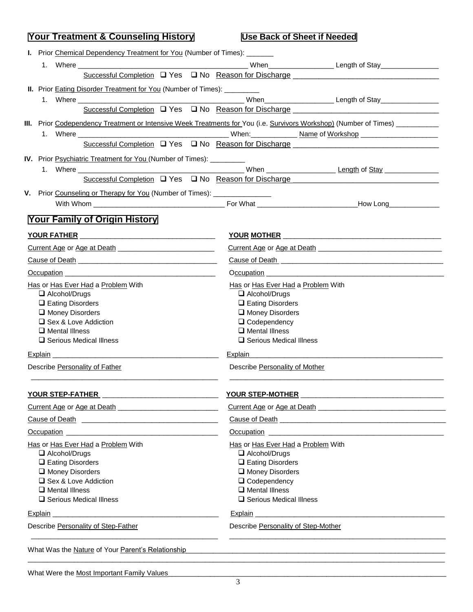| <b>Your Treatment &amp; Counseling History</b>                                                                                                                                                                                       | <b>Use Back of Sheet if Needed</b>                                                                                                                                                                                                   |  |  |
|--------------------------------------------------------------------------------------------------------------------------------------------------------------------------------------------------------------------------------------|--------------------------------------------------------------------------------------------------------------------------------------------------------------------------------------------------------------------------------------|--|--|
| I. Prior Chemical Dependency Treatment for You (Number of Times): _______                                                                                                                                                            |                                                                                                                                                                                                                                      |  |  |
|                                                                                                                                                                                                                                      |                                                                                                                                                                                                                                      |  |  |
|                                                                                                                                                                                                                                      |                                                                                                                                                                                                                                      |  |  |
| <b>II.</b> Prior <b>Eating Disorder Treatment for You</b> (Number of Times): __________                                                                                                                                              |                                                                                                                                                                                                                                      |  |  |
|                                                                                                                                                                                                                                      |                                                                                                                                                                                                                                      |  |  |
|                                                                                                                                                                                                                                      | Successful Completion □ Yes □ No Reason for Discharge ___________________________                                                                                                                                                    |  |  |
|                                                                                                                                                                                                                                      | III. Prior Codependency Treatment or Intensive Week Treatments for You (i.e. Survivors Workshop) (Number of Times)                                                                                                                   |  |  |
| 1.                                                                                                                                                                                                                                   |                                                                                                                                                                                                                                      |  |  |
|                                                                                                                                                                                                                                      |                                                                                                                                                                                                                                      |  |  |
| IV. Prior Psychiatric Treatment for You (Number of Times): ________                                                                                                                                                                  |                                                                                                                                                                                                                                      |  |  |
|                                                                                                                                                                                                                                      |                                                                                                                                                                                                                                      |  |  |
|                                                                                                                                                                                                                                      |                                                                                                                                                                                                                                      |  |  |
| V. Prior Counseling or Therapy for You (Number of Times): ________________                                                                                                                                                           |                                                                                                                                                                                                                                      |  |  |
|                                                                                                                                                                                                                                      |                                                                                                                                                                                                                                      |  |  |
|                                                                                                                                                                                                                                      |                                                                                                                                                                                                                                      |  |  |
| <b>Your Family of Origin History</b>                                                                                                                                                                                                 |                                                                                                                                                                                                                                      |  |  |
|                                                                                                                                                                                                                                      |                                                                                                                                                                                                                                      |  |  |
|                                                                                                                                                                                                                                      | Current Age or Age at Death 1994 and 200 million and 200 million and 200 million and 200 million and 200 million                                                                                                                     |  |  |
|                                                                                                                                                                                                                                      | Cause of Death <b>contained</b> and cause of Death <b>Cause of Death</b>                                                                                                                                                             |  |  |
| Occupation                                                                                                                                                                                                                           | Occupation experience and the contract of the contract of the contract of the contract of the contract of the contract of the contract of the contract of the contract of the contract of the contract of the contract of the        |  |  |
| Has or Has Ever Had a Problem With                                                                                                                                                                                                   | Has or Has Ever Had a Problem With                                                                                                                                                                                                   |  |  |
| $\Box$ Alcohol/Drugs                                                                                                                                                                                                                 | $\Box$ Alcohol/Drugs                                                                                                                                                                                                                 |  |  |
| $\Box$ Eating Disorders                                                                                                                                                                                                              | $\Box$ Eating Disorders                                                                                                                                                                                                              |  |  |
| Money Disorders                                                                                                                                                                                                                      | Money Disorders                                                                                                                                                                                                                      |  |  |
| □ Sex & Love Addiction                                                                                                                                                                                                               | $\Box$ Codependency                                                                                                                                                                                                                  |  |  |
| $\Box$ Mental Illness<br>$\Box$ Serious Medical Illness                                                                                                                                                                              | $\Box$ Mental Illness<br>$\Box$ Serious Medical Illness                                                                                                                                                                              |  |  |
|                                                                                                                                                                                                                                      |                                                                                                                                                                                                                                      |  |  |
|                                                                                                                                                                                                                                      | <b>Explain</b>                                                                                                                                                                                                                       |  |  |
| Describe Personality of Father                                                                                                                                                                                                       | Describe Personality of Mother                                                                                                                                                                                                       |  |  |
| YOUR STEP-FATHER<br><u> 1989 - Johann Stein, mars an deus an deus Amerikaansk kommunister (</u>                                                                                                                                      | YOUR STEP-MOTHER                                                                                                                                                                                                                     |  |  |
|                                                                                                                                                                                                                                      |                                                                                                                                                                                                                                      |  |  |
|                                                                                                                                                                                                                                      | Cause of Death <b>Cause of Death</b>                                                                                                                                                                                                 |  |  |
| Occupation <b>Department of the Contract of the Contract of the Contract of the Contract of the Contract of the Contract of the Contract of the Contract of the Contract of the Contract of the Contract of the Contract of the </b> | Occupation <b>contract the contract of the contract of the contract of the contract of the contract of the contract of the contract of the contract of the contract of the contract of the contract of the contract of the contr</b> |  |  |
| Has or Has Ever Had a Problem With                                                                                                                                                                                                   | Has or Has Ever Had a Problem With                                                                                                                                                                                                   |  |  |
| Alcohol/Drugs                                                                                                                                                                                                                        | Alcohol/Drugs                                                                                                                                                                                                                        |  |  |
| $\Box$ Eating Disorders                                                                                                                                                                                                              | $\Box$ Eating Disorders                                                                                                                                                                                                              |  |  |
| Money Disorders                                                                                                                                                                                                                      | Money Disorders                                                                                                                                                                                                                      |  |  |
| □ Sex & Love Addiction                                                                                                                                                                                                               | $\Box$ Codependency                                                                                                                                                                                                                  |  |  |
| $\Box$ Mental Illness<br>$\Box$ Serious Medical Illness                                                                                                                                                                              | $\Box$ Mental Illness<br>□ Serious Medical Illness                                                                                                                                                                                   |  |  |
|                                                                                                                                                                                                                                      |                                                                                                                                                                                                                                      |  |  |
| Explain                                                                                                                                                                                                                              | Explain<br><u> 1989 - Johann Barbara, martin amerikan basal dan berasal dalam basal dalam basal dalam basal dalam basal dala</u>                                                                                                     |  |  |
| Describe Personality of Step-Father                                                                                                                                                                                                  | Describe Personality of Step-Mother                                                                                                                                                                                                  |  |  |
| What Was the Nature of Your Parent's Relationship                                                                                                                                                                                    |                                                                                                                                                                                                                                      |  |  |
|                                                                                                                                                                                                                                      |                                                                                                                                                                                                                                      |  |  |

What Were the Most Important Family Values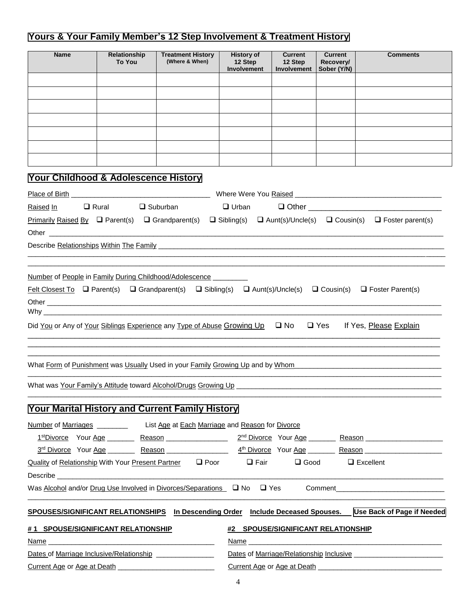### **Yours & Your Family Member's 12 Step Involvement & Treatment History**

|                                                                                                                                                                                                                                     | Relationship<br><b>To You</b> | <b>Treatment History</b><br>(Where & When)                                                                                                                            | <b>History of</b><br>12 Step<br>Involvement                | <b>Current</b><br>12 Step<br><b>Involvement</b> | <b>Current</b><br>Recovery/<br>Sober (Y/N) | <b>Comments</b>                                                                                                                                                                                                                |
|-------------------------------------------------------------------------------------------------------------------------------------------------------------------------------------------------------------------------------------|-------------------------------|-----------------------------------------------------------------------------------------------------------------------------------------------------------------------|------------------------------------------------------------|-------------------------------------------------|--------------------------------------------|--------------------------------------------------------------------------------------------------------------------------------------------------------------------------------------------------------------------------------|
|                                                                                                                                                                                                                                     |                               |                                                                                                                                                                       |                                                            |                                                 |                                            |                                                                                                                                                                                                                                |
|                                                                                                                                                                                                                                     |                               |                                                                                                                                                                       |                                                            |                                                 |                                            |                                                                                                                                                                                                                                |
|                                                                                                                                                                                                                                     |                               |                                                                                                                                                                       |                                                            |                                                 |                                            |                                                                                                                                                                                                                                |
|                                                                                                                                                                                                                                     |                               |                                                                                                                                                                       |                                                            |                                                 |                                            |                                                                                                                                                                                                                                |
|                                                                                                                                                                                                                                     |                               |                                                                                                                                                                       |                                                            |                                                 |                                            |                                                                                                                                                                                                                                |
|                                                                                                                                                                                                                                     |                               |                                                                                                                                                                       |                                                            |                                                 |                                            |                                                                                                                                                                                                                                |
|                                                                                                                                                                                                                                     |                               |                                                                                                                                                                       |                                                            |                                                 |                                            |                                                                                                                                                                                                                                |
| Your Childhood & Adolescence History                                                                                                                                                                                                |                               |                                                                                                                                                                       |                                                            |                                                 |                                            |                                                                                                                                                                                                                                |
|                                                                                                                                                                                                                                     |                               |                                                                                                                                                                       |                                                            |                                                 |                                            |                                                                                                                                                                                                                                |
| Raised In                                                                                                                                                                                                                           | $\Box$ Rural                  | $\Box$ Suburban                                                                                                                                                       | $\Box$ Urban                                               |                                                 |                                            |                                                                                                                                                                                                                                |
| <b>Primarily Raised By <math>\Box</math> Parent(s)</b> $\Box$ Grandparent(s)                                                                                                                                                        |                               |                                                                                                                                                                       | $\Box$ Sibling(s) $\Box$ Aunt(s)/Uncle(s) $\Box$ Cousin(s) |                                                 |                                            | $\Box$ Foster parent(s)                                                                                                                                                                                                        |
|                                                                                                                                                                                                                                     |                               |                                                                                                                                                                       |                                                            |                                                 |                                            |                                                                                                                                                                                                                                |
|                                                                                                                                                                                                                                     |                               | Describe Relationships Within The Family Letter and Content and Content and Content and Content and Content and                                                       |                                                            |                                                 |                                            |                                                                                                                                                                                                                                |
|                                                                                                                                                                                                                                     |                               |                                                                                                                                                                       |                                                            |                                                 |                                            |                                                                                                                                                                                                                                |
|                                                                                                                                                                                                                                     |                               | Did You or Any of Your Siblings Experience any Type of Abuse Growing $Up$ $\Box$ No<br>What Form of Punishment was Usually Used in your Family Growing Up and by Whom |                                                            |                                                 |                                            | □ Yes If Yes, Please Explain                                                                                                                                                                                                   |
|                                                                                                                                                                                                                                     |                               |                                                                                                                                                                       |                                                            |                                                 |                                            |                                                                                                                                                                                                                                |
|                                                                                                                                                                                                                                     |                               | What was Your Family's Attitude toward Alcohol/Drugs Growing Up _________                                                                                             |                                                            |                                                 |                                            |                                                                                                                                                                                                                                |
|                                                                                                                                                                                                                                     |                               | Your Marital History and Current Family History                                                                                                                       |                                                            |                                                 |                                            |                                                                                                                                                                                                                                |
|                                                                                                                                                                                                                                     |                               | Number of Marriages ______________ List Age at Each Marriage and Reason for Divorce                                                                                   |                                                            |                                                 |                                            |                                                                                                                                                                                                                                |
|                                                                                                                                                                                                                                     |                               |                                                                                                                                                                       |                                                            |                                                 |                                            | 1stDivorce Your Age Reason Reason 2 <sup>nd</sup> Divorce Your Age Reason Reason 2 <sup>nd</sup> Divorce 2011                                                                                                                  |
|                                                                                                                                                                                                                                     |                               |                                                                                                                                                                       |                                                            |                                                 |                                            |                                                                                                                                                                                                                                |
|                                                                                                                                                                                                                                     |                               | Quality of Relationship With Your Present Partner □ Poor                                                                                                              | $\Box$ Fair                                                |                                                 | $\Box$ Good                                | $\Box$ Excellent                                                                                                                                                                                                               |
| Describe <b>Executive</b> Contract and the contract of the contract of the contract of the contract of the contract of the contract of the contract of the contract of the contract of the contract of the contract of the contract |                               |                                                                                                                                                                       |                                                            |                                                 |                                            |                                                                                                                                                                                                                                |
|                                                                                                                                                                                                                                     |                               | Was Alcohol and/or Drug Use Involved in Divorces/Separations $\Box$ No $\Box$ Yes                                                                                     |                                                            |                                                 |                                            | Comment and the comment of the comment of the comment of the comment of the comment of the comment of the comment of the comment of the comment of the comment of the comment of the comment of the comment of the comment of  |
|                                                                                                                                                                                                                                     |                               |                                                                                                                                                                       |                                                            |                                                 |                                            | SPOUSES/SIGNIFICANT RELATIONSHIPS In Descending Order Include Deceased Spouses. Use Back of Page if Needed                                                                                                                     |
| #1 SPOUSE/SIGNIFICANT RELATIONSHIP                                                                                                                                                                                                  |                               |                                                                                                                                                                       | #2 SPOUSE/SIGNIFICANT RELATIONSHIP                         |                                                 |                                            |                                                                                                                                                                                                                                |
|                                                                                                                                                                                                                                     |                               |                                                                                                                                                                       |                                                            |                                                 |                                            | Name experience and the second contract of the second contract of the second contract of the second contract of the second contract of the second contract of the second contract of the second contract of the second contrac |
| Dates of Marriage Inclusive/Relationship ________________                                                                                                                                                                           |                               |                                                                                                                                                                       |                                                            |                                                 |                                            |                                                                                                                                                                                                                                |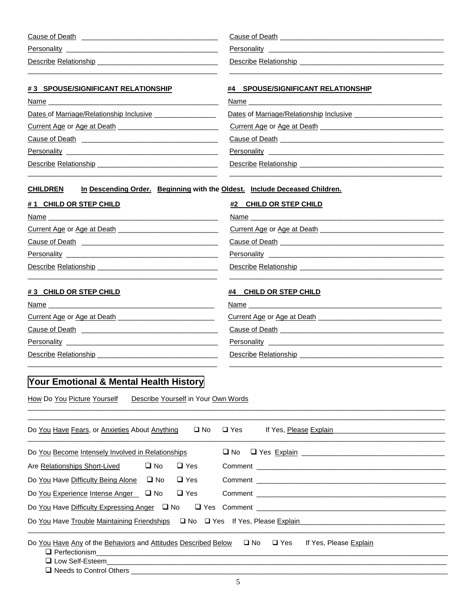| Cause of Death        | Cause of Death        |
|-----------------------|-----------------------|
| Personality           | Personality           |
| Describe Relationship | Describe Relationship |
|                       |                       |

| #3 SPOUSE/SIGNIFICANT RELATIONSHIP                          | #4 SPOUSE/SIGNIFICANT RELATIONSHIP                                                                                                                                                                                                                       |
|-------------------------------------------------------------|----------------------------------------------------------------------------------------------------------------------------------------------------------------------------------------------------------------------------------------------------------|
|                                                             |                                                                                                                                                                                                                                                          |
| Dates of Marriage/Relationship Inclusive __________________ | Dates of Marriage/Relationship Inclusive                                                                                                                                                                                                                 |
|                                                             |                                                                                                                                                                                                                                                          |
|                                                             |                                                                                                                                                                                                                                                          |
|                                                             |                                                                                                                                                                                                                                                          |
|                                                             |                                                                                                                                                                                                                                                          |
| #1 CHILD OR STEP CHILD                                      | #2 CHILD OR STEP CHILD<br>Name and the contract of the contract of the contract of the contract of the contract of the contract of the contract of the contract of the contract of the contract of the contract of the contract of the contract of the c |
|                                                             |                                                                                                                                                                                                                                                          |
|                                                             |                                                                                                                                                                                                                                                          |
|                                                             |                                                                                                                                                                                                                                                          |
|                                                             |                                                                                                                                                                                                                                                          |
|                                                             |                                                                                                                                                                                                                                                          |
| # 3 CHILD OR STEP CHILD                                     | <b>CHILD OR STEP CHILD</b><br>#4                                                                                                                                                                                                                         |

| <b>Name</b>                 | Name                        |
|-----------------------------|-----------------------------|
| Current Age or Age at Death | Current Age or Age at Death |
| Cause of Death              | Cause of Death              |
| Personality                 | Personality                 |
| Describe Relationship       | Describe Relationship       |
|                             |                             |

\_\_\_\_\_\_\_\_\_\_\_\_\_\_\_\_\_\_\_\_\_\_\_\_\_\_\_\_\_\_\_\_\_\_\_\_\_\_\_\_\_\_\_\_\_\_\_\_\_\_\_\_\_\_\_\_\_\_\_\_\_\_\_\_\_\_\_\_\_\_\_\_\_\_\_\_\_\_\_\_\_\_\_\_\_\_\_\_\_\_\_\_\_\_\_\_\_\_\_\_\_\_\_\_\_\_\_\_

# **Your Emotional & Mental Health History**

How Do You Picture Yourself Describe Yourself in Your Own Words

| Do You Have Fears, or Anxieties About Anything                                                           | $\square$ No | $\square$ Yes<br>If Yes, Please Explain                                                                                                                                                                                            |
|----------------------------------------------------------------------------------------------------------|--------------|------------------------------------------------------------------------------------------------------------------------------------------------------------------------------------------------------------------------------------|
| Do You Become Intensely Involved in Relationships                                                        |              | □ No □ Yes Explain <u>United States</u> and States and States and States and States and States and States and States and States and States and States and States and States and States and States and States and States and States |
| Are Relationships Short-Lived □ No                                                                       | $\Box$ Yes   |                                                                                                                                                                                                                                    |
| Do You Have Difficulty Being Alone $\Box$ No                                                             | $\Box$ Yes   |                                                                                                                                                                                                                                    |
| Do You Experience Intense Anger □ No □ Yes                                                               |              |                                                                                                                                                                                                                                    |
|                                                                                                          |              |                                                                                                                                                                                                                                    |
|                                                                                                          |              | Do You Have Trouble Maintaining Friendships<br>Die Ves If Yes, Please Explain                                                                                                                                                      |
| Do You Have Any of the Behaviors and Attitudes Described Below $\Box$ No $\Box$ Yes<br>□ Low Self-Esteem |              | If Yes, Please Explain                                                                                                                                                                                                             |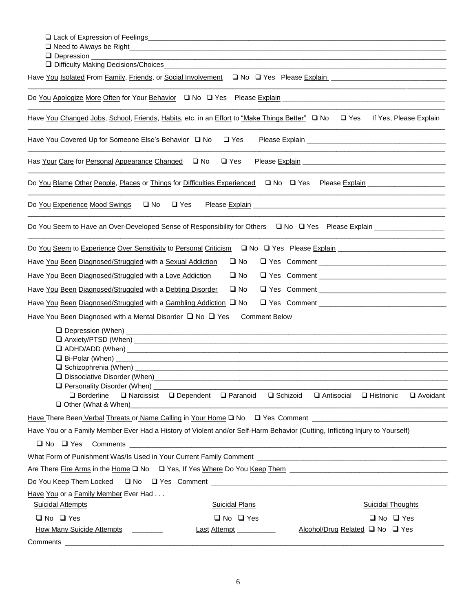| Have You Isolated From Family, Friends, or Social Involvement<br>Q No Q Yes Please Explain explain entertainment of the Explain entertainment of the Explain entertainment of t |                          |
|---------------------------------------------------------------------------------------------------------------------------------------------------------------------------------|--------------------------|
|                                                                                                                                                                                 |                          |
| Have You Changed Jobs, School, Friends, Habits, etc. in an Effort to "Make Things Better" □ No<br>$\square$ Yes                                                                 | If Yes, Please Explain   |
| Have You Covered Up for Someone Else's Behavior Q No<br>$\Box$ Yes                                                                                                              |                          |
| Has Your Care for Personal Appearance Changed<br><u>D</u> No<br>$\square$ Yes                                                                                                   |                          |
| Do You Blame Other People, Places or Things for Difficulties Experienced<br>No Please Explain 100 Please FXP 2011                                                               |                          |
| Do You Experience Mood Swings<br>$\square$ No<br>$\Box$ Yes                                                                                                                     |                          |
| Do You Seem to Have an Over-Developed Sense of Responsibility for Others $\Box$ No $\Box$ Yes Please Explain                                                                    |                          |
| Do You Seem to Experience Over Sensitivity to Personal Criticism<br>□ No □ Yes Please Explain <u>[1994]</u> No □ Yes Please Explain [1994]                                      |                          |
| Have You Been Diagnosed/Struggled with a Sexual Addiction<br>$\square$ No                                                                                                       |                          |
| Have You Been Diagnosed/Struggled with a Love Addiction<br>$\square$ No                                                                                                         |                          |
| Have You Been Diagnosed/Struggled with a Debting Disorder<br>$\square$ No                                                                                                       |                          |
| Have You Been Diagnosed/Struggled with a Gambling Addiction $\Box$ No                                                                                                           |                          |
| Have You Been Diagnosed with a Mental Disorder $\Box$ No $\Box$ Yes<br><b>Comment Below</b>                                                                                     |                          |
|                                                                                                                                                                                 |                          |
|                                                                                                                                                                                 |                          |
|                                                                                                                                                                                 |                          |
|                                                                                                                                                                                 |                          |
|                                                                                                                                                                                 |                          |
| <b>Q</b> Personality Disorder (When) _____________________<br>□ Borderline □ Narcissist □ Dependent □ Paranoid<br>$\Box$ Schizoid $\Box$ Antisocial $\Box$ Histrionic           | $\Box$ Avoidant          |
|                                                                                                                                                                                 |                          |
|                                                                                                                                                                                 |                          |
| Have You or a Family Member Ever Had a History of Violent and/or Self-Harm Behavior (Cutting, Inflicting Injury to Yourself)                                                    |                          |
| $\Box$ No $\Box$ Yes                                                                                                                                                            |                          |
| What Form of Punishment Was/Is Used in Your Current Family Comment Network Comment Communication of Punishment Was/Is Used in Your Current Family Comment                       |                          |
|                                                                                                                                                                                 |                          |
|                                                                                                                                                                                 |                          |
| Have You or a Family Member Ever Had<br><b>Suicidal Attempts</b><br><b>Suicidal Plans</b>                                                                                       | <b>Suicidal Thoughts</b> |
| $\Box$ No $\Box$ Yes<br>$\Box$ No $\Box$ Yes                                                                                                                                    | $\Box$ No $\Box$ Yes     |
| <b>How Many Suicide Attempts</b><br>Alcohol/Drug Related □ No □ Yes<br>Last Attempt __________                                                                                  |                          |
| Comments                                                                                                                                                                        |                          |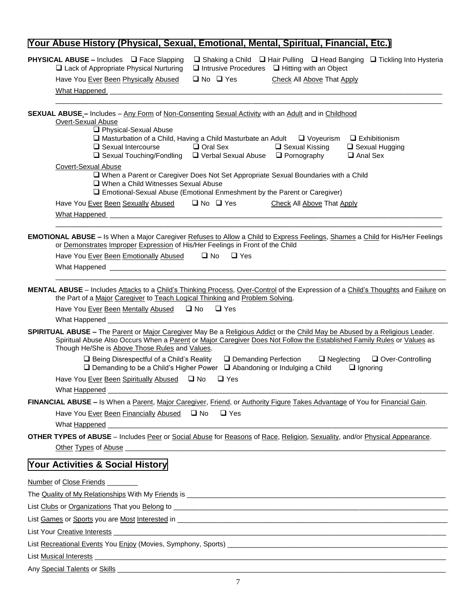## **Your Abuse History (Physical, Sexual, Emotional, Mental, Spiritual, Financial, Etc.)**

| PHYSICAL ABUSE - Includes □ Face Slapping<br>$\Box$ Shaking a Child $\Box$ Hair Pulling $\Box$ Head Banging $\Box$ Tickling Into Hysteria<br>$\Box$ Intrusive Procedures $\Box$ Hitting with an Object<br>$\Box$ Lack of Appropriate Physical Nurturing                                                               |
|-----------------------------------------------------------------------------------------------------------------------------------------------------------------------------------------------------------------------------------------------------------------------------------------------------------------------|
| $\Box$ No $\Box$ Yes<br>Have You Ever Been Physically Abused<br><b>Check All Above That Apply</b>                                                                                                                                                                                                                     |
| What Happened                                                                                                                                                                                                                                                                                                         |
|                                                                                                                                                                                                                                                                                                                       |
| <b>SEXUAL ABUSE - Includes - Any Form of Non-Consenting Sexual Activity with an Adult and in Childhood</b><br>Overt-Sexual Abuse<br>Physical-Sexual Abuse                                                                                                                                                             |
| $\square$ Masturbation of a Child, Having a Child Masturbate an Adult $\square$ Voyeurism<br>$\Box$ Exhibitionism<br>$\square$ Sexual Intercourse<br>□ Oral Sex<br>$\Box$ Sexual Kissing<br>$\Box$ Sexual Hugging<br>$\Box$ Sexual Touching/Fondling $\Box$ Verbal Sexual Abuse $\Box$ Pornography<br>$\Box$ Anal Sex |
| Covert-Sexual Abuse<br>□ When a Parent or Caregiver Does Not Set Appropriate Sexual Boundaries with a Child<br>□ When a Child Witnesses Sexual Abuse<br>□ Emotional-Sexual Abuse (Emotional Enmeshment by the Parent or Caregiver)                                                                                    |
| $\Box$ No $\Box$ Yes<br>Have You Ever Been Sexually Abused<br>Check All Above That Apply                                                                                                                                                                                                                              |
| <b>What Happened</b>                                                                                                                                                                                                                                                                                                  |
| <b>EMOTIONAL ABUSE - Is</b> When a Major Caregiver Refuses to Allow a Child to Express Feelings, Shames a Child for His/Her Feelings<br>or Demonstrates Improper Expression of His/Her Feelings in Front of the Child<br>Have You Ever Been Emotionally Abused<br><u>I</u> No<br>$\Box$ Yes                           |
| MENTAL ABUSE - Includes Attacks to a Child's Thinking Process, Over-Control of the Expression of a Child's Thoughts and Failure on<br>the Part of a Major Caregiver to Teach Logical Thinking and Problem Solving.                                                                                                    |
| $\square$ No<br>$\Box$ Yes<br>Have You Ever Been Mentally Abused                                                                                                                                                                                                                                                      |
| What Happened _                                                                                                                                                                                                                                                                                                       |
| SPIRITUAL ABUSE - The Parent or Major Caregiver May Be a Religious Addict or the Child May be Abused by a Religious Leader.<br>Spiritual Abuse Also Occurs When a Parent or Major Caregiver Does Not Follow the Established Family Rules or Values as<br>Though He/She is Above Those Rules and Values.               |
| $\Box$ Being Disrespectful of a Child's Reality<br>□ Demanding Perfection<br>$\Box$ Neglecting<br>Over-Controlling<br>$\Box$ Demanding to be a Child's Higher Power $\Box$ Abandoning or Indulging a Child<br>$\Box$ Ignoring                                                                                         |
| Have You Ever Been Spiritually Abused □ No<br>$\Box$ Yes                                                                                                                                                                                                                                                              |
| What Happened                                                                                                                                                                                                                                                                                                         |
| FINANCIAL ABUSE - Is When a Parent, Major Caregiver, Friend, or Authority Figure Takes Advantage of You for Financial Gain                                                                                                                                                                                            |
| Have You Ever Been Financially Abused □ No<br>$\Box$ Yes<br>What Happened                                                                                                                                                                                                                                             |
| <b>OTHER TYPES of ABUSE</b> – Includes Peer or Social Abuse for Reasons of Race, Religion, Sexuality, and/or Physical Appearance.                                                                                                                                                                                     |
|                                                                                                                                                                                                                                                                                                                       |
| Your Activities & Social History                                                                                                                                                                                                                                                                                      |
| <b>Number of Close Friends</b>                                                                                                                                                                                                                                                                                        |
|                                                                                                                                                                                                                                                                                                                       |
|                                                                                                                                                                                                                                                                                                                       |
|                                                                                                                                                                                                                                                                                                                       |
| List Your Creative Interests<br><u> 1989 - Jan James James James James James James James James James James James James James James James James J</u>                                                                                                                                                                  |
|                                                                                                                                                                                                                                                                                                                       |
| <b>List Musical Interests</b><br><u> 1989 - Jan James James James James James James James James James James James James James James James James J</u>                                                                                                                                                                 |
|                                                                                                                                                                                                                                                                                                                       |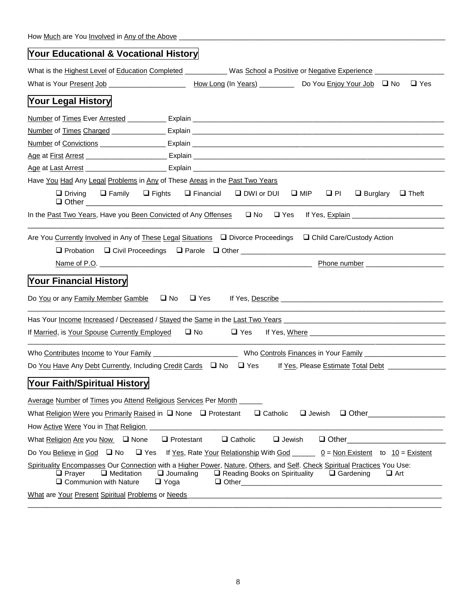| Your Educational & Vocational History                                                                                                                                                                                               |                                                             |                                                                             |
|-------------------------------------------------------------------------------------------------------------------------------------------------------------------------------------------------------------------------------------|-------------------------------------------------------------|-----------------------------------------------------------------------------|
| What is the Highest Level of Education Completed ___________ Was School a Positive or Negative Experience _______________                                                                                                           |                                                             |                                                                             |
| What is Your Present Job ______________________                                                                                                                                                                                     |                                                             | How Long (In Years) ____________ Do You Enjoy Your Job $\Box$ No $\Box$ Yes |
| Your Legal History                                                                                                                                                                                                                  |                                                             |                                                                             |
|                                                                                                                                                                                                                                     |                                                             |                                                                             |
|                                                                                                                                                                                                                                     |                                                             |                                                                             |
|                                                                                                                                                                                                                                     |                                                             |                                                                             |
|                                                                                                                                                                                                                                     |                                                             |                                                                             |
|                                                                                                                                                                                                                                     |                                                             |                                                                             |
| Have You Had Any Legal Problems in Any of These Areas in the Past Two Years                                                                                                                                                         |                                                             |                                                                             |
| $\Box$ Driving<br>$\Box$ Family<br>$\Box$ Other $\_\_$                                                                                                                                                                              | $\Box$ Fights $\Box$ Financial $\Box$ DWI or DUI $\Box$ MIP | $\Box$ PI<br>$\Box$ Burglary $\Box$ Theft                                   |
| In the Past Two Years, Have you Been Convicted of Any Offenses $\Box$ No $\Box$ Yes                                                                                                                                                 |                                                             |                                                                             |
| Are You Currently Involved in Any of These Legal Situations  □ Divorce Proceedings  □ Child Care/Custody Action<br>$\Box$ Probation $\Box$ Civil Proceedings $\Box$ Parole $\Box$ Other                                             |                                                             |                                                                             |
| Your Financial History<br>Do You or any Family Member Gamble $\Box$ No $\Box$ Yes                                                                                                                                                   |                                                             |                                                                             |
| Has Your Income Increased / Decreased / Stayed the Same in the Last Two Years Manuscript Communication of the N                                                                                                                     |                                                             |                                                                             |
| If Married, is Your Spouse Currently Employed □ No                                                                                                                                                                                  |                                                             |                                                                             |
| Who Contributes Income to Your Family Manuscript Annual Microsoft Controls Finances in Your Family Museum Annual Microsoft Controls Finances in Your Family                                                                         |                                                             |                                                                             |
|                                                                                                                                                                                                                                     |                                                             |                                                                             |
| Your Faith/Spiritual Historv                                                                                                                                                                                                        |                                                             |                                                                             |
| Average Number of Times you Attend Religious Services Per Month<br>What Religion Were you Primarily Raised in Q None Q Protestant<br>How Active Were You in That Religion                                                           | $\Box$ Catholic                                             | $\Box$ Other<br>$\Box$ Jewish                                               |
| What Religion Are you Now $\Box$ None<br>$\Box$ Protestant                                                                                                                                                                          | $\Box$ Catholic<br>$\Box$ Jewish                            | $\Box$ Other $\Box$                                                         |
| Do You Believe in God □ No                                                                                                                                                                                                          |                                                             |                                                                             |
| Spirituality Encompasses Our Connection with a Higher Power, Nature, Others, and Self. Check Spiritual Practices You Use:<br>$\Box$ Meditation<br>$\Box$ Journaling<br>$\Box$ Prayer<br>$\Box$ Communion with Nature<br>$\Box$ Yoga | $\Box$ Reading Books on Spirituality                        | $\Box$ Gardening<br>$\Box$ Art                                              |
| What are Your Present Spiritual Problems or Needs                                                                                                                                                                                   |                                                             |                                                                             |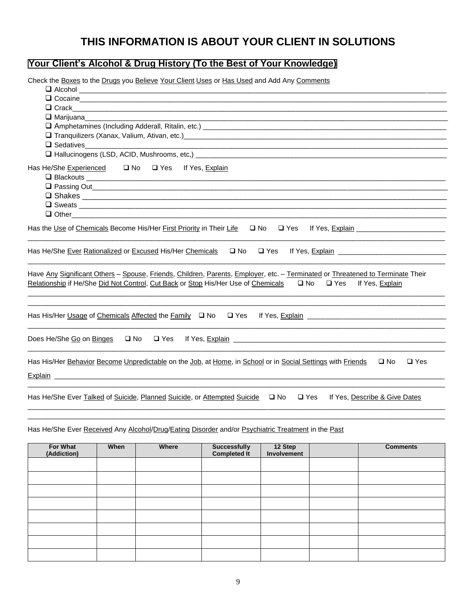# **THIS INFORMATION IS ABOUT YOUR CLIENT IN SOLUTIONS**

### **Your Client's Alcohol & Drug History (To the Best of Your Knowledge)**

Check the Boxes to the Drugs you Believe Your Client Uses or Has Used and Add Any Comments

| $\Box$ Alcohol $\Box$                                                                                                                                                                                                                                                   |
|-------------------------------------------------------------------------------------------------------------------------------------------------------------------------------------------------------------------------------------------------------------------------|
| Q Cocaine experience and the contract of the contract of the contract of the contract of the contract of the contract of the contract of the contract of the contract of the contract of the contract of the contract of the c                                          |
|                                                                                                                                                                                                                                                                         |
| $\Box$ Marijuana                                                                                                                                                                                                                                                        |
|                                                                                                                                                                                                                                                                         |
| Tranquilizers (Xanax, Valium, Ativan, etc.)<br>2020 - Pranquilizers (Xanax, Valium, Ativan, etc.)<br>2020 - Pranco Martin Maria Maria Maria Maria Maria Maria Maria Maria Maria Maria Maria Maria Maria Maria Mari                                                      |
| $\Box$ Sedatives                                                                                                                                                                                                                                                        |
|                                                                                                                                                                                                                                                                         |
|                                                                                                                                                                                                                                                                         |
|                                                                                                                                                                                                                                                                         |
| $\Box$ Other $\Box$                                                                                                                                                                                                                                                     |
| Has the Use of Chemicals Become His/Her First Priority in Their Life $\Box$ No $\Box$ Yes<br><u>If Yes, Explain ___________________________</u><br>Has He/She Ever Rationalized or Excused His/Her Chemicals<br>□ No □ Yes<br>If Yes, Explain                           |
| Have Any Significant Others - Spouse, Friends, Children, Parents, Employer, etc. - Terminated or Threatened to Terminate Their<br>Relationship if He/She Did Not Control, Cut Back or Stop His/Her Use of Chemicals<br>$\square$ No<br>$\square$ Yes<br>If Yes, Explain |
| Has His/Her Usage of Chemicals Affected the Family $\Box$ No $\Box$ Yes<br><u> 1989 - Johann Stoff, amerikansk politiker (d. 1989)</u>                                                                                                                                  |
| Does He/She Go on Binges<br>$\square$ Yes<br>$\square$ No                                                                                                                                                                                                               |
| Has His/Her Behavior Become Unpredictable on the Job, at Home, in School or in Social Settings with Friends<br>$\square$ No<br>$\Box$ Yes                                                                                                                               |
| Has He/She Ever Talked of Suicide, Planned Suicide, or Attempted Suicide<br>$\square$ No<br>$\square$ Yes<br>If Yes, Describe & Give Dates                                                                                                                              |

Has He/She Ever Received Any Alcohol/Drug/Eating Disorder and/or Psychiatric Treatment in the Past

| For What<br>(Addiction) | When | Where | Successfully<br>Completed It | 12 Step<br>Involvement | <b>Comments</b> |
|-------------------------|------|-------|------------------------------|------------------------|-----------------|
|                         |      |       |                              |                        |                 |
|                         |      |       |                              |                        |                 |
|                         |      |       |                              |                        |                 |
|                         |      |       |                              |                        |                 |
|                         |      |       |                              |                        |                 |
|                         |      |       |                              |                        |                 |
|                         |      |       |                              |                        |                 |
|                         |      |       |                              |                        |                 |

\_\_\_\_\_\_\_\_\_\_\_\_\_\_\_\_\_\_\_\_\_\_\_\_\_\_\_\_\_\_\_\_\_\_\_\_\_\_\_\_\_\_\_\_\_\_\_\_\_\_\_\_\_\_\_\_\_\_\_\_\_\_\_\_\_\_\_\_\_\_\_\_\_\_\_\_\_\_\_\_\_\_\_\_\_\_\_\_\_\_\_\_\_\_\_\_\_\_\_\_\_\_\_\_\_\_\_\_ \_\_\_\_\_\_\_\_\_\_\_\_\_\_\_\_\_\_\_\_\_\_\_\_\_\_\_\_\_\_\_\_\_\_\_\_\_\_\_\_\_\_\_\_\_\_\_\_\_\_\_\_\_\_\_\_\_\_\_\_\_\_\_\_\_\_\_\_\_\_\_\_\_\_\_\_\_\_\_\_\_\_\_\_\_\_\_\_\_\_\_\_\_\_\_\_\_\_\_\_\_\_\_\_\_\_\_\_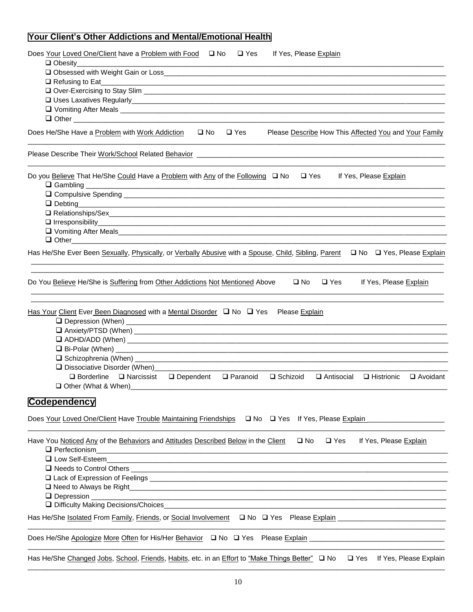### **Your Client's Other Addictions and Mental/Emotional Health**

| Does Your Loved One/Client have a Problem with Food □ No<br>$\Box$ Yes<br>If Yes, Please Explain                                                                                                                              |
|-------------------------------------------------------------------------------------------------------------------------------------------------------------------------------------------------------------------------------|
|                                                                                                                                                                                                                               |
|                                                                                                                                                                                                                               |
|                                                                                                                                                                                                                               |
|                                                                                                                                                                                                                               |
|                                                                                                                                                                                                                               |
| Does He/She Have a Problem with Work Addiction<br>$\square$ No<br>$\Box$ Yes<br>Please Describe How This Affected You and Your Family                                                                                         |
|                                                                                                                                                                                                                               |
|                                                                                                                                                                                                                               |
| Do you Believe That He/She Could Have a Problem with Any of the Following □ No<br>$\square$ Yes<br>If Yes, Please Explain<br>$\Box$ Gambling $\Box$                                                                           |
|                                                                                                                                                                                                                               |
| $\Box$ Debting                                                                                                                                                                                                                |
| O Relationships/Sex executive contract to the contract of the contract of the contract of the contract of the contract of the contract of the contract of the contract of the contract of the contract of the contract of the |
|                                                                                                                                                                                                                               |
|                                                                                                                                                                                                                               |
| Has He/She Ever Been Sexually, Physically, or Verbally Abusive with a Spouse, Child, Sibling, Parent □ No □ Yes, Please Explain                                                                                               |
| Do You Believe He/She is Suffering from Other Addictions Not Mentioned Above<br>$\square$ Yes<br>If Yes, Please Explain<br>$\square$ No                                                                                       |
| <u>Has Your Client</u> Ever Been Diagnosed with a Mental Disorder Q No Q Yes Please Explain                                                                                                                                   |
|                                                                                                                                                                                                                               |
|                                                                                                                                                                                                                               |
|                                                                                                                                                                                                                               |
| Dissociative Disorder (When)__________<br>$\Box$ Borderline $\Box$ Narcissist $\Box$ Dependent<br>$\Box$ Paranoid<br>□ Schizoid<br>□ Antisocial<br>□ Histrionic<br>□ Avoidant                                                 |
|                                                                                                                                                                                                                               |
| <b>Codependency</b>                                                                                                                                                                                                           |
| Does Your Loved One/Client Have Trouble Maintaining Friendships □ No □ Yes If Yes, Please Explain                                                                                                                             |
|                                                                                                                                                                                                                               |
| Have You Noticed Any of the Behaviors and Attitudes Described Below in the Client<br>$\square$ No<br>$\square$ Yes<br>If Yes, Please Explain<br>$\Box$ Perfectionism                                                          |
| <u> 1989 - Jan Barat, margaret amerikan bahasa (j. 1989)</u>                                                                                                                                                                  |
|                                                                                                                                                                                                                               |
|                                                                                                                                                                                                                               |
|                                                                                                                                                                                                                               |
|                                                                                                                                                                                                                               |
|                                                                                                                                                                                                                               |
| Has He/She Isolated From Family, Friends, or Social Involvement Q No Q Yes Please Explain Communication Communiculary                                                                                                         |
| Does He/She Apologize More Often for His/Her Behavior Q No Q Yes Please Explain Letter Construction Construction                                                                                                              |
| Has He/She Changed Jobs, School, Friends, Habits, etc. in an Effort to "Make Things Better" □ No<br>$\square$ Yes<br>If Yes, Please Explain                                                                                   |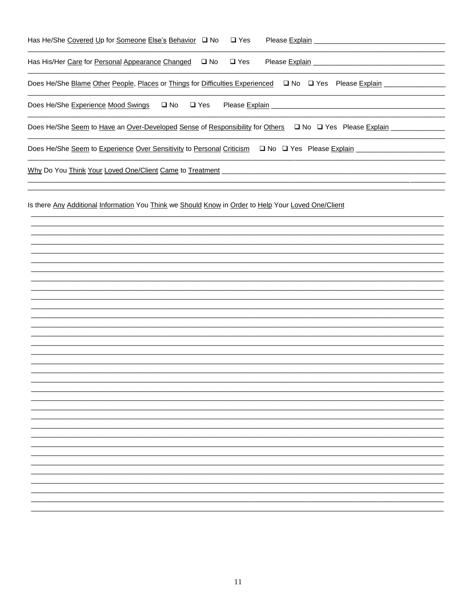| Has He/She Covered Up for Someone Else's Behavior Q No Q Yes                                                      | Please Explain |
|-------------------------------------------------------------------------------------------------------------------|----------------|
| Has His/Her Care for Personal Appearance Changed $\Box$ No $\Box$ Yes                                             | Please Explain |
| Does He/She Blame Other People, Places or Things for Difficulties Experienced $\Box$ No $\Box$ Yes Please Explain |                |
| $\square$ No<br>Does He/She Experience Mood Swings<br>$\square$ Yes<br>Please Explain                             |                |
| Does He/She Seem to Have an Over-Developed Sense of Responsibility for Others $\Box$ No $\Box$ Yes Please Explain |                |
| Does He/She Seem to Experience Over Sensitivity to Personal Criticism $\Box$ No $\Box$ Yes Please Explain         |                |
| Why Do You Think Your Loved One/Client Came to Treatment                                                          |                |

Is there Any Additional Information You Think we Should Know in Order to Help Your Loved One/Client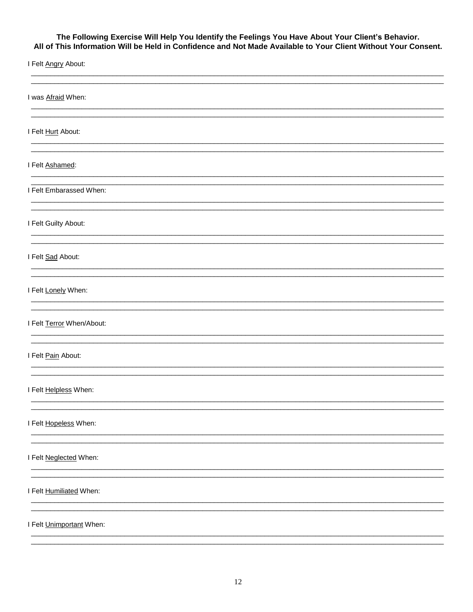# The Following Exercise Will Help You Identify the Feelings You Have About Your Client's Behavior.<br>All of This Information Will be Held in Confidence and Not Made Available to Your Client Without Your Consent.

| I Felt Angry About:       |  |
|---------------------------|--|
| I was Afraid When:        |  |
| I Felt Hurt About:        |  |
| I Felt Ashamed:           |  |
| I Felt Embarassed When:   |  |
| I Felt Guilty About:      |  |
| I Felt Sad About:         |  |
| I Felt Lonely When:       |  |
| I Felt Terror When/About: |  |
| I Felt Pain About:        |  |
| I Felt Helpless When:     |  |
| I Felt Hopeless When:     |  |
| I Felt Neglected When:    |  |
| I Felt Humiliated When:   |  |
| I Felt Unimportant When:  |  |